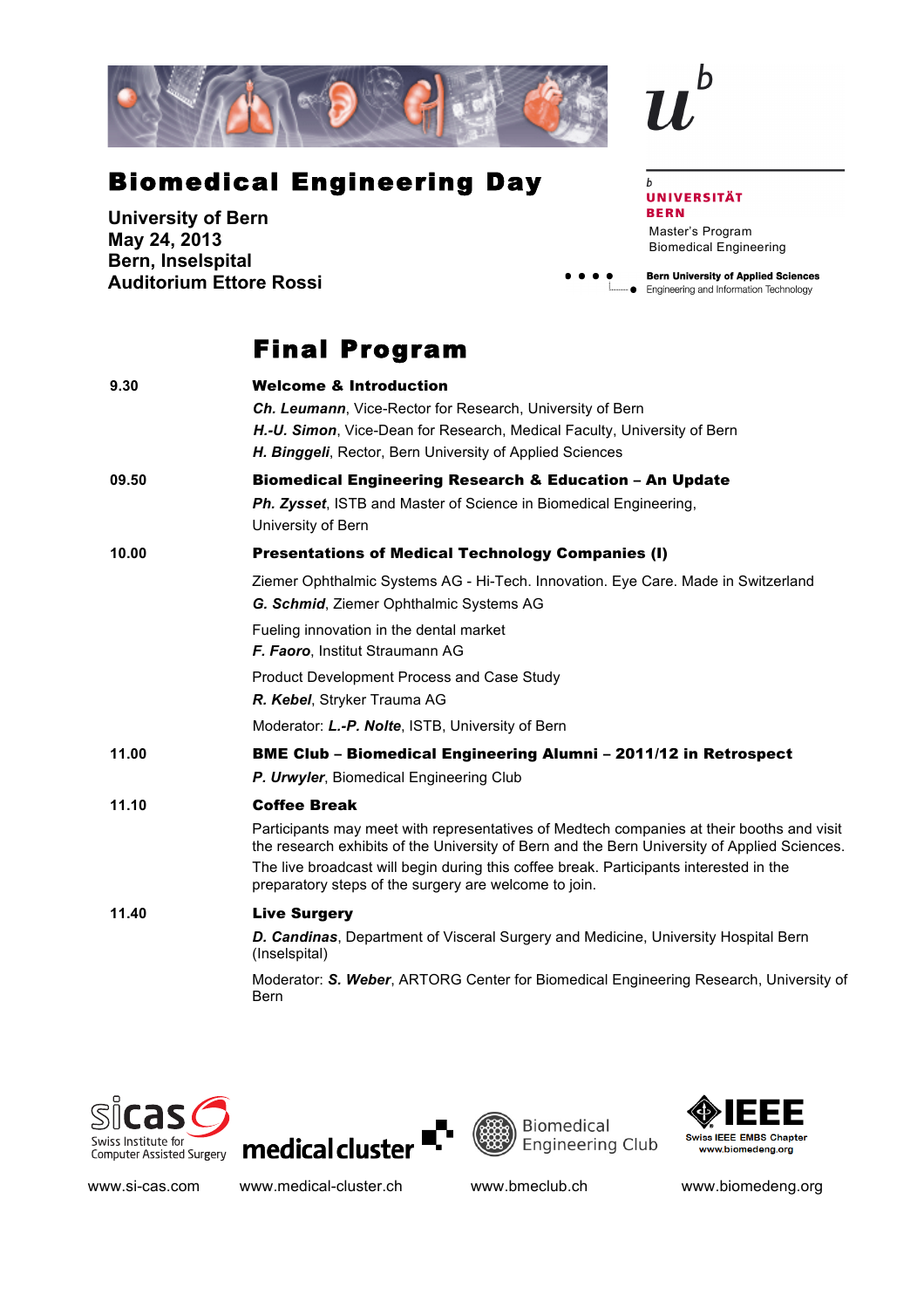

## Biomedical Engineering Day

**University of Bern May 24, 2013 Bern, Inselspital Auditorium Ettore Rossi**

## Final Program

| 9.30  | <b>Welcome &amp; Introduction</b>                                                                                                                                                                                                                                                                                                            |  |  |
|-------|----------------------------------------------------------------------------------------------------------------------------------------------------------------------------------------------------------------------------------------------------------------------------------------------------------------------------------------------|--|--|
|       | <b>Ch. Leumann, Vice-Rector for Research, University of Bern</b>                                                                                                                                                                                                                                                                             |  |  |
|       | H.-U. Simon, Vice-Dean for Research, Medical Faculty, University of Bern                                                                                                                                                                                                                                                                     |  |  |
|       | H. Binggeli, Rector, Bern University of Applied Sciences                                                                                                                                                                                                                                                                                     |  |  |
| 09.50 | <b>Biomedical Engineering Research &amp; Education - An Update</b>                                                                                                                                                                                                                                                                           |  |  |
|       | Ph. Zysset, ISTB and Master of Science in Biomedical Engineering,<br>University of Bern                                                                                                                                                                                                                                                      |  |  |
| 10.00 | <b>Presentations of Medical Technology Companies (I)</b>                                                                                                                                                                                                                                                                                     |  |  |
|       | Ziemer Ophthalmic Systems AG - Hi-Tech. Innovation. Eye Care. Made in Switzerland<br>G. Schmid, Ziemer Ophthalmic Systems AG                                                                                                                                                                                                                 |  |  |
|       | Fueling innovation in the dental market                                                                                                                                                                                                                                                                                                      |  |  |
|       | F. Faoro, Institut Straumann AG                                                                                                                                                                                                                                                                                                              |  |  |
|       | Product Development Process and Case Study                                                                                                                                                                                                                                                                                                   |  |  |
|       | R. Kebel, Stryker Trauma AG                                                                                                                                                                                                                                                                                                                  |  |  |
|       | Moderator: L.-P. Nolte, ISTB, University of Bern                                                                                                                                                                                                                                                                                             |  |  |
| 11.00 | <b>BME Club - Biomedical Engineering Alumni - 2011/12 in Retrospect</b>                                                                                                                                                                                                                                                                      |  |  |
|       | P. Urwyler, Biomedical Engineering Club                                                                                                                                                                                                                                                                                                      |  |  |
| 11.10 | <b>Coffee Break</b>                                                                                                                                                                                                                                                                                                                          |  |  |
|       | Participants may meet with representatives of Medtech companies at their booths and visit<br>the research exhibits of the University of Bern and the Bern University of Applied Sciences.<br>The live broadcast will begin during this coffee break. Participants interested in the<br>preparatory steps of the surgery are welcome to join. |  |  |
| 11.40 | <b>Live Surgery</b>                                                                                                                                                                                                                                                                                                                          |  |  |
|       | D. Candinas, Department of Visceral Surgery and Medicine, University Hospital Bern<br>(Inselspital)                                                                                                                                                                                                                                          |  |  |
|       | Moderator: S. Weber, ARTORG Center for Biomedical Engineering Research, University of<br><b>Bern</b>                                                                                                                                                                                                                                         |  |  |
|       |                                                                                                                                                                                                                                                                                                                                              |  |  |









www.si-cas.com www.medical-cluster.ch www.bmeclub.ch www.biomedeng.org

## **UNIVERSITÄT BERN**

 $\mathbf b$ 

Master's Program Biomedical Engineering

**Bern University of Applied Sciences**  $\bullet$ • Engineering and Information Technology

 $\mathbf b$